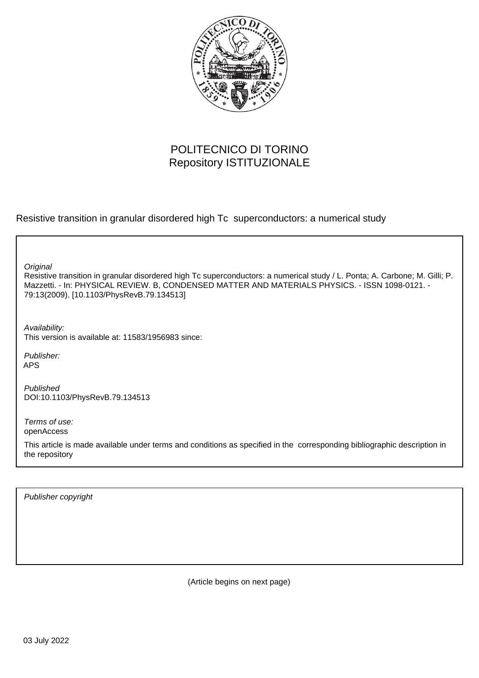

# POLITECNICO DI TORINO Repository ISTITUZIONALE

Resistive transition in granular disordered high Tc superconductors: a numerical study

**Original** 

Resistive transition in granular disordered high Tc superconductors: a numerical study / L. Ponta; A. Carbone; M. Gilli; P. Mazzetti. - In: PHYSICAL REVIEW. B, CONDENSED MATTER AND MATERIALS PHYSICS. - ISSN 1098-0121. - 79:13(2009). [10.1103/PhysRevB.79.134513]

Availability: This version is available at: 11583/1956983 since:

Publisher: APS

Published DOI:10.1103/PhysRevB.79.134513

Terms of use: openAccess

This article is made available under terms and conditions as specified in the corresponding bibliographic description in the repository

Publisher copyright

(Article begins on next page)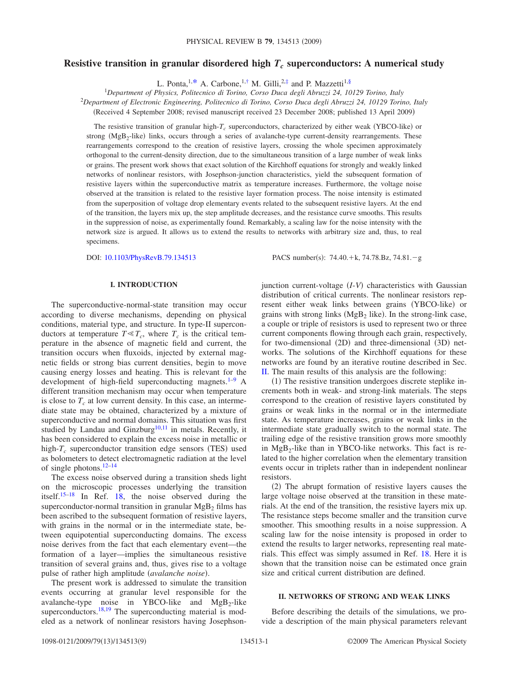# **Resistive transition in granular disordered high**  $T_c$  **superconductors: A numerical study**

L. Ponta,<sup>1,\*</sup> A. Carbone,<sup>1,†</sup> M. Gilli,<sup>2,‡</sup> and P. Mazzetti<sup>1,§</sup>

1 *Department of Physics, Politecnico di Torino, Corso Duca degli Abruzzi 24, 10129 Torino, Italy*

<sup>2</sup>*Department of Electronic Engineering, Politecnico di Torino, Corso Duca degli Abruzzi 24, 10129 Torino, Italy*

Received 4 September 2008; revised manuscript received 23 December 2008; published 13 April 2009-

The resistive transition of granular high- $T_c$  superconductors, characterized by either weak (YBCO-like) or strong ( $MgB_2$ -like) links, occurs through a series of avalanche-type current-density rearrangements. These rearrangements correspond to the creation of resistive layers, crossing the whole specimen approximately orthogonal to the current-density direction, due to the simultaneous transition of a large number of weak links or grains. The present work shows that exact solution of the Kirchhoff equations for strongly and weakly linked networks of nonlinear resistors, with Josephson-junction characteristics, yield the subsequent formation of resistive layers within the superconductive matrix as temperature increases. Furthermore, the voltage noise observed at the transition is related to the resistive layer formation process. The noise intensity is estimated from the superposition of voltage drop elementary events related to the subsequent resistive layers. At the end of the transition, the layers mix up, the step amplitude decreases, and the resistance curve smooths. This results in the suppression of noise, as experimentally found. Remarkably, a scaling law for the noise intensity with the network size is argued. It allows us to extend the results to networks with arbitrary size and, thus, to real specimens.

DOI: [10.1103/PhysRevB.79.134513](http://dx.doi.org/10.1103/PhysRevB.79.134513)

:  $74.40.+k$ ,  $74.78.Bz$ ,  $74.81.-g$ 

## **I. INTRODUCTION**

The superconductive-normal-state transition may occur according to diverse mechanisms, depending on physical conditions, material type, and structure. In type-II superconductors at temperature  $T \ll T_c$ , where  $T_c$  is the critical temperature in the absence of magnetic field and current, the transition occurs when fluxoids, injected by external magnetic fields or strong bias current densities, begin to move causing energy losses and heating. This is relevant for the development of high-field superconducting magnets.<sup>1-9</sup> A different transition mechanism may occur when temperature is close to  $T_c$  at low current density. In this case, an intermediate state may be obtained, characterized by a mixture of superconductive and normal domains. This situation was first studied by Landau and Ginzburg<sup>10,11</sup> in metals. Recently, it has been considered to explain the excess noise in metallic or high- $T_c$  superconductor transition edge sensors (TES) used as bolometers to detect electromagnetic radiation at the level of single photons. $12-14$ 

The excess noise observed during a transition sheds light on the microscopic processes underlying the transition itself.15–18 In Ref. 18, the noise observed during the superconductor-normal transition in granular  $MgB<sub>2</sub>$  films has been ascribed to the subsequent formation of resistive layers, with grains in the normal or in the intermediate state, between equipotential superconducting domains. The excess noise derives from the fact that each elementary event—the formation of a layer—implies the simultaneous resistive transition of several grains and, thus, gives rise to a voltage pulse of rather high amplitude (avalanche noise).

The present work is addressed to simulate the transition events occurring at granular level responsible for the avalanche-type noise in YBCO-like and  $MgB<sub>2</sub>$ -like superconductors.<sup>18,19</sup> The superconducting material is modeled as a network of nonlinear resistors having Josephson-

junction current-voltage (*I-V*) characteristics with Gaussian distribution of critical currents. The nonlinear resistors represent either weak links between grains (YBCO-like) or grains with strong links  $(MgB<sub>2</sub>$  like). In the strong-link case, a couple or triple of resistors is used to represent two or three current components flowing through each grain, respectively, for two-dimensional (2D) and three-dimensional (3D) networks. The solutions of the Kirchhoff equations for these networks are found by an iterative routine described in Sec. II. The main results of this analysis are the following:

(1) The resistive transition undergoes discrete steplike increments both in weak- and strong-link materials. The steps correspond to the creation of resistive layers constituted by grains or weak links in the normal or in the intermediate state. As temperature increases, grains or weak links in the intermediate state gradually switch to the normal state. The trailing edge of the resistive transition grows more smoothly in  $MgB<sub>2</sub>$ -like than in YBCO-like networks. This fact is related to the higher correlation when the elementary transition events occur in triplets rather than in independent nonlinear resistors.

(2) The abrupt formation of resistive layers causes the large voltage noise observed at the transition in these materials. At the end of the transition, the resistive layers mix up. The resistance steps become smaller and the transition curve smoother. This smoothing results in a noise suppression. A scaling law for the noise intensity is proposed in order to extend the results to larger networks, representing real materials. This effect was simply assumed in Ref. 18. Here it is shown that the transition noise can be estimated once grain size and critical current distribution are defined.

#### **II. NETWORKS OF STRONG AND WEAK LINKS**

Before describing the details of the simulations, we provide a description of the main physical parameters relevant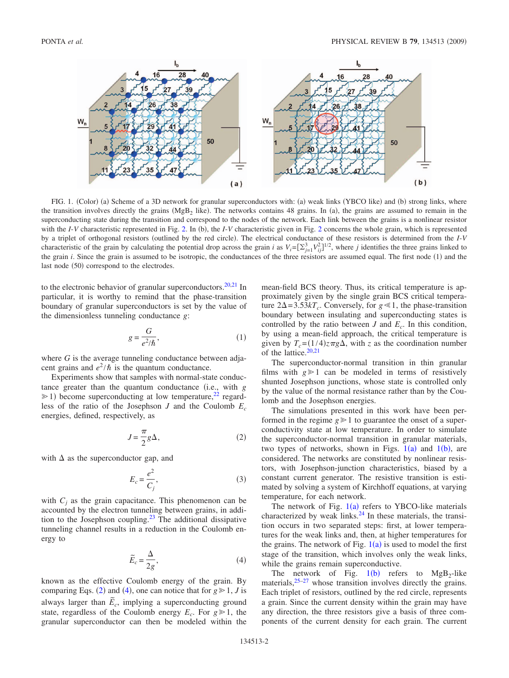

FIG. 1. (Color) (a) Scheme of a 3D network for granular superconductors with: (a) weak links (YBCO like) and (b) strong links, where the transition involves directly the grains  $(MgB<sub>2</sub>)$  like). The networks contains 48 grains. In (a), the grains are assumed to remain in the superconducting state during the transition and correspond to the nodes of the network. Each link between the grains is a nonlinear resistor with the *I*-*V* characteristic represented in Fig. 2. In (b), the *I*-*V* characteristic given in Fig. 2 concerns the whole grain, which is represented by a triplet of orthogonal resistors (outlined by the red circle). The electrical conductance of these resistors is determined from the *I*-*V* characteristic of the grain by calculating the potential drop across the grain *i* as  $V_i = \left[\sum_{j=1}^3 V_{ij}^2\right]^{1/2}$ , where *j* identifies the three grains linked to the grain *i*. Since the grain is assumed to be isotropic, the conductances of the three resistors are assumed equal. The first node (1) and the last node (50) correspond to the electrodes.

to the electronic behavior of granular superconductors. $20,21$  In particular, it is worthy to remind that the phase-transition boundary of granular superconductors is set by the value of the dimensionless tunneling conductance *g*:

$$
g = \frac{G}{e^2/\hbar},\tag{1}
$$

where *G* is the average tunneling conductance between adjacent grains and  $e^2/\hbar$  is the quantum conductance.

Experiments show that samples with normal-state conductance greater than the quantum conductance (i.e., with *g*  $\geq 1$ ) become superconducting at low temperature,<sup>22</sup> regardless of the ratio of the Josephson *J* and the Coulomb  $E_c$ energies, defined, respectively, as

$$
J = \frac{\pi}{2} g \Delta, \qquad (2)
$$

with  $\Delta$  as the superconductor gap, and

$$
E_c = \frac{e^2}{C_j},\tag{3}
$$

with  $C_i$  as the grain capacitance. This phenomenon can be accounted by the electron tunneling between grains, in addition to the Josephson coupling.23 The additional dissipative tunneling channel results in a reduction in the Coulomb energy to

$$
\widetilde{E}_c = \frac{\Delta}{2g},\tag{4}
$$

known as the effective Coulomb energy of the grain. By comparing Eqs. (2) and (4), one can notice that for  $g \ge 1$ , *J* is always larger than  $\tilde{E}_c$ , implying a superconducting ground state, regardless of the Coulomb energy  $E_c$ . For  $g \ge 1$ , the granular superconductor can then be modeled within the mean-field BCS theory. Thus, its critical temperature is approximately given by the single grain BCS critical temperature  $2\Delta = 3.53kT_c$ . Conversely, for  $g \ll 1$ , the phase-transition boundary between insulating and superconducting states is controlled by the ratio between  $J$  and  $E_c$ . In this condition, by using a mean-field approach, the critical temperature is given by  $T_c = (1/4)z\pi g\Delta$ , with *z* as the coordination number of the lattice.<sup>20,21</sup>

The superconductor-normal transition in thin granular films with  $g \geq 1$  can be modeled in terms of resistively shunted Josephson junctions, whose state is controlled only by the value of the normal resistance rather than by the Coulomb and the Josephson energies.

The simulations presented in this work have been performed in the regime  $g \ge 1$  to guarantee the onset of a superconductivity state at low temperature. In order to simulate the superconductor-normal transition in granular materials, two types of networks, shown in Figs.  $1(a)$  and  $1(b)$ , are considered. The networks are constituted by nonlinear resistors, with Josephson-junction characteristics, biased by a constant current generator. The resistive transition is estimated by solving a system of Kirchhoff equations, at varying temperature, for each network.

The network of Fig.  $1(a)$  refers to YBCO-like materials characterized by weak links. $24$  In these materials, the transition occurs in two separated steps: first, at lower temperatures for the weak links and, then, at higher temperatures for the grains. The network of Fig.  $1(a)$  is used to model the first stage of the transition, which involves only the weak links, while the grains remain superconductive.

The network of Fig.  $1(b)$  refers to MgB<sub>2</sub>-like materials, $25-27$  whose transition involves directly the grains. Each triplet of resistors, outlined by the red circle, represents a grain. Since the current density within the grain may have any direction, the three resistors give a basis of three components of the current density for each grain. The current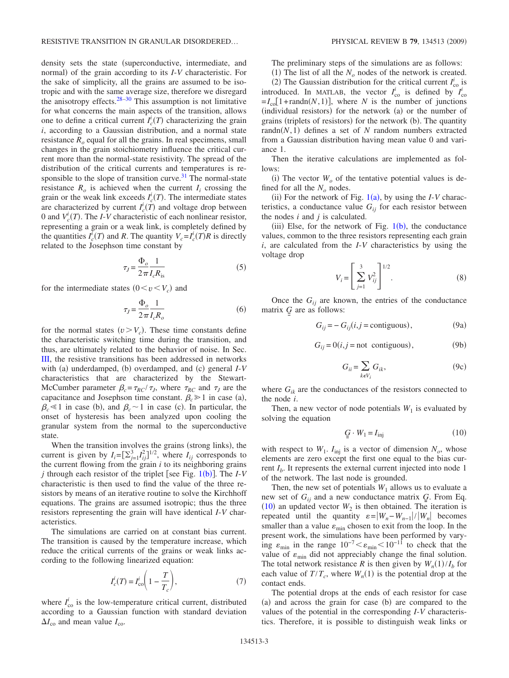density sets the state (superconductive, intermediate, and normal) of the grain according to its *I-V* characteristic. For the sake of simplicity, all the grains are assumed to be isotropic and with the same average size, therefore we disregard the anisotropy effects.28–30 This assumption is not limitative for what concerns the main aspects of the transition, allows one to define a critical current  $I_c^i(T)$  characterizing the grain *i*, according to a Gaussian distribution, and a normal state resistance  $R<sub>o</sub>$  equal for all the grains. In real specimens, small changes in the grain stoichiometry influence the critical current more than the normal-state resistivity. The spread of the distribution of the critical currents and temperatures is responsible to the slope of transition curve. $31$  The normal-state resistance  $R_0$  is achieved when the current  $I_i$  crossing the grain or the weak link exceeds  $I_c^i(T)$ . The intermediate states are characterized by current  $I_c^i(T)$  and voltage drop between 0 and  $V_c^i(T)$ . The *I*-*V* characteristic of each nonlinear resistor, representing a grain or a weak link, is completely defined by the quantities  $I_c^i(T)$  and *R*. The quantity  $V_c = I_c^i(T)R$  is directly related to the Josephson time constant by

$$
\tau_J = \frac{\Phi_o}{2\pi} \frac{1}{I_c R_{\text{is}}}
$$
\n(5)

for the intermediate states  $(0 < v < V_c)$  and

$$
\tau_J = \frac{\Phi_o}{2\pi} \frac{1}{I_c R_o} \tag{6}
$$

for the normal states  $(v > V_c)$ . These time constants define the characteristic switching time during the transition, and thus, are ultimately related to the behavior of noise. In Sec. III, the resistive transitions has been addressed in networks with (a) underdamped, (b) overdamped, and (c) general  $I-V$ characteristics that are characterized by the Stewart-McCumber parameter  $\beta_c = \tau_{RC}/\tau_J$ , where  $\tau_{RC}$  and  $\tau_J$  are the capacitance and Josephson time constant.  $\beta_c \geq 1$  in case (a),  $\beta_c \leq 1$  in case (b), and  $\beta_c \sim 1$  in case (c). In particular, the onset of hysteresis has been analyzed upon cooling the granular system from the normal to the superconductive state.

When the transition involves the grains (strong links), the current is given by  $I_i = \left[\sum_{j=1}^3 I_{ij}^2\right]^{1/2}$ , where  $I_{ij}$  corresponds to the current flowing from the grain *i* to its neighboring grains *j* through each resistor of the triplet [see Fig.  $1(b)$ ]. The *I-V* characteristic is then used to find the value of the three resistors by means of an iterative routine to solve the Kirchhoff equations. The grains are assumed isotropic; thus the three resistors representing the grain will have identical *I*-*V* characteristics.

The simulations are carried on at constant bias current. The transition is caused by the temperature increase, which reduce the critical currents of the grains or weak links according to the following linearized equation:

$$
I_c^i(T) = I_{\text{co}}^i \left( 1 - \frac{T}{T_c} \right),\tag{7}
$$

where  $I_{\rm co}^i$  is the low-temperature critical current, distributed according to a Gaussian function with standard deviation  $\Delta I_{\rm co}$  and mean value  $I_{\rm co}$ .

The preliminary steps of the simulations are as follows:

(1) The list of all the  $N<sub>o</sub>$  nodes of the network is created. (2) The Gaussian distribution for the critical current  $I_{\text{co}}^i$  is introduced. In MATLAB, the vector  $I_{\rm co}^i$  is defined by  $I_{\rm co}^i$  $=I_{\text{col}}[1+\text{randn}(N,1)]$ , where *N* is the number of junctions (individual resistors) for the network (a) or the number of

grains (triplets of resistors) for the network (b). The quantity  $randn(N,1)$  defines a set of *N* random numbers extracted from a Gaussian distribution having mean value 0 and variance 1.

Then the iterative calculations are implemented as follows:

(i) The vector  $W<sub>o</sub>$  of the tentative potential values is defined for all the  $N<sub>o</sub>$  nodes.

(ii) For the network of Fig.  $1(a)$ , by using the *I*-*V* characteristics, a conductance value  $G_{ij}$  for each resistor between the nodes *i* and *j* is calculated.

(iii) Else, for the network of Fig.  $1(b)$ , the conductance values, common to the three resistors representing each grain *i*, are calculated from the *I*-*V* characteristics by using the voltage drop

$$
V_i = \left[\sum_{j=1}^{3} V_{ij}^2\right]^{1/2}.
$$
 (8)

Once the  $G_{ij}$  are known, the entries of the conductance matrix *G* are as follows:

$$
G_{ij} = -G_{ij}(i, j = \text{contiguous}),\tag{9a}
$$

$$
G_{ij} = 0(i, j = \text{not contiguous}),\tag{9b}
$$

$$
G_{ii} = \sum_{k \in V_i} G_{ik},\tag{9c}
$$

where  $G_{ik}$  are the conductances of the resistors connected to the node *i*.

Then, a new vector of node potentials  $W_1$  is evaluated by solving the equation

$$
\underline{G} \cdot W_1 = I_{\text{inj}} \tag{10}
$$

with respect to  $W_1$ .  $I_{\text{inj}}$  is a vector of dimension  $N_o$ , whose elements are zero except the first one equal to the bias current  $I<sub>b</sub>$ . It represents the external current injected into node 1 of the network. The last node is grounded.

Then, the new set of potentials  $W_1$  allows us to evaluate a new set of  $G_{ii}$  and a new conductance matrix  $G$ . From Eq.  $(10)$  an updated vector  $W_2$  is then obtained. The iteration is repeated until the quantity  $\varepsilon = |W_n - W_{n-1}|/|W_n|$  becomes smaller than a value  $\varepsilon_{\min}$  chosen to exit from the loop. In the present work, the simulations have been performed by varying  $\varepsilon_{\text{min}}$  in the range  $10^{-7} \le \varepsilon_{\text{min}} \le 10^{-11}$  to check that the value of  $\varepsilon_{\min}$  did not appreciably change the final solution. The total network resistance *R* is then given by  $W_n(1)/I_b$  for each value of  $T/T_c$ , where  $W_n(1)$  is the potential drop at the contact ends.

The potential drops at the ends of each resistor for case (a) and across the grain for case (b) are compared to the values of the potential in the corresponding *I*-*V* characteristics. Therefore, it is possible to distinguish weak links or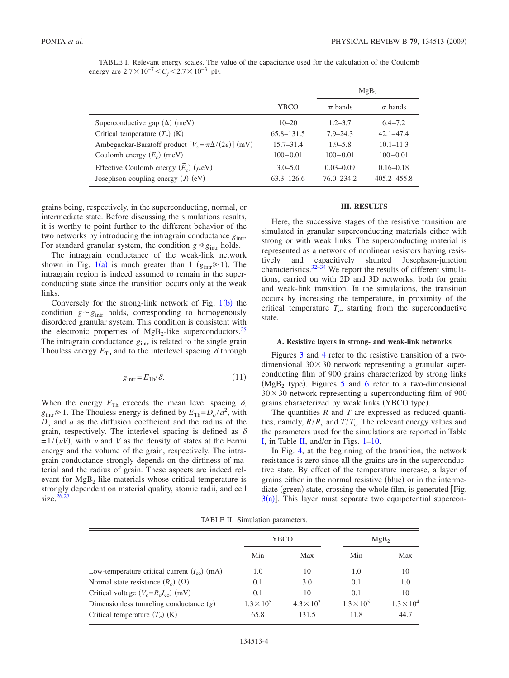|                                                            |                | MgB <sub>2</sub> |                 |  |
|------------------------------------------------------------|----------------|------------------|-----------------|--|
|                                                            | YBCO           | $\pi$ bands      | $\sigma$ bands  |  |
| Superconductive gap $(\Delta)$ (meV)                       | $10 - 20$      | $1.2 - 3.7$      | $6.4 - 7.2$     |  |
| Critical temperature $(T_c)$ (K)                           | 65.8–131.5     | $7.9 - 24.3$     | $42.1 - 47.4$   |  |
| Ambegaokar-Baratoff product $[V_c = \pi \Delta/(2e)]$ (mV) | $15.7 - 31.4$  | $1.9 - 5.8$      | $10.1 - 11.3$   |  |
| Coulomb energy $(E_c)$ (meV)                               | $100 - 0.01$   | $100 - 0.01$     | $100 - 0.01$    |  |
| Effective Coulomb energy $(\widetilde{E}_c)$ ( $\mu$ eV)   | $3.0 - 5.0$    | $0.03 - 0.09$    | $0.16 - 0.18$   |  |
| Josephson coupling energy $(J)$ (eV)                       | $63.3 - 126.6$ | $76.0 - 234.2$   | $405.2 - 455.8$ |  |

TABLE I. Relevant energy scales. The value of the capacitance used for the calculation of the Coulomb energy are  $2.7 \times 10^{-7}$   $\lt C_j$   $\lt 2.7 \times 10^{-3}$  pF.

grains being, respectively, in the superconducting, normal, or intermediate state. Before discussing the simulations results, it is worthy to point further to the different behavior of the two networks by introducing the intragrain conductance  $g_{\text{intr}}$ . For standard granular system, the condition  $g \ll g_{\text{intr}}$  holds.

The intragrain conductance of the weak-link network shown in Fig. 1(a) is much greater than 1  $(g_{\text{intr}} \ge 1)$ . The intragrain region is indeed assumed to remain in the superconducting state since the transition occurs only at the weak links.

Conversely for the strong-link network of Fig.  $1(b)$  the condition  $g \sim g_{\text{intr}}$  holds, corresponding to homogenously disordered granular system. This condition is consistent with the electronic properties of  $MgB_2$ -like superconductors.<sup>25</sup> The intragrain conductance  $g_{\text{intr}}$  is related to the single grain Thouless energy  $E_{\text{Th}}$  and to the interlevel spacing  $\delta$  through

$$
g_{\text{intr}} = E_{\text{Th}} / \delta. \tag{11}
$$

When the energy  $E_{\text{Th}}$  exceeds the mean level spacing  $\delta$ ,  $g_{\text{intr}} \ge 1$ . The Thouless energy is defined by  $E_{\text{Th}} = D_o / a^2$ , with *Do* and *a* as the diffusion coefficient and the radius of the grain, respectively. The interlevel spacing is defined as  $\delta$  $=1/(vV)$ , with v and V as the density of states at the Fermi energy and the volume of the grain, respectively. The intragrain conductance strongly depends on the dirtiness of material and the radius of grain. These aspects are indeed relevant for  $MgB<sub>2</sub>$ -like materials whose critical temperature is strongly dependent on material quality, atomic radii, and cell size. $26,27$ 

### **III. RESULTS**

Here, the successive stages of the resistive transition are simulated in granular superconducting materials either with strong or with weak links. The superconducting material is represented as a network of nonlinear resistors having resistively and capacitively shunted Josephson-junction characteristics. $32-34$  We report the results of different simulations, carried on with 2D and 3D networks, both for grain and weak-link transition. In the simulations, the transition occurs by increasing the temperature, in proximity of the critical temperature  $T_c$ , starting from the superconductive state.

#### **A. Resistive layers in strong- and weak-link networks**

Figures 3 and 4 refer to the resistive transition of a twodimensional  $30 \times 30$  network representing a granular superconducting film of 900 grains characterized by strong links  $(MgB<sub>2</sub>$  type). Figures 5 and 6 refer to a two-dimensional  $30 \times 30$  network representing a superconducting film of 900 grains characterized by weak links (YBCO type).

The quantities *R* and *T* are expressed as reduced quantities, namely,  $R/R<sub>o</sub>$  and  $T/T<sub>c</sub>$ . The relevant energy values and the parameters used for the simulations are reported in Table I, in Table II, and/or in Figs. 1–10.

In Fig. 4, at the beginning of the transition, the network resistance is zero since all the grains are in the superconductive state. By effect of the temperature increase, a layer of grains either in the normal resistive (blue) or in the intermediate (green) state, crossing the whole film, is generated [Fig.  $3(a)$ ]. This layer must separate two equipotential supercon-

TABLE II. Simulation parameters.

|                                                      | YBCO                |                     | MgB <sub>2</sub>    |                     |
|------------------------------------------------------|---------------------|---------------------|---------------------|---------------------|
|                                                      | Min                 | Max                 | Min                 | Max                 |
| Low-temperature critical current $(I_{\rm co})$ (mA) | 1.0                 | 10                  | 1.0                 | 10                  |
| Normal state resistance $(R_0)$ $(\Omega)$           | 0.1                 | 3.0                 | 0.1                 | 1.0                 |
| Critical voltage $(V_c = R_o I_{co})$ (mV)           | 0.1                 | 10                  | 0.1                 | 10                  |
| Dimensionless tunneling conductance $(g)$            | $1.3 \times 10^{5}$ | $4.3 \times 10^{3}$ | $1.3 \times 10^{5}$ | $1.3 \times 10^{4}$ |
| Critical temperature $(T_c)$ (K)                     | 65.8                | 131.5               | 11.8                | 44.7                |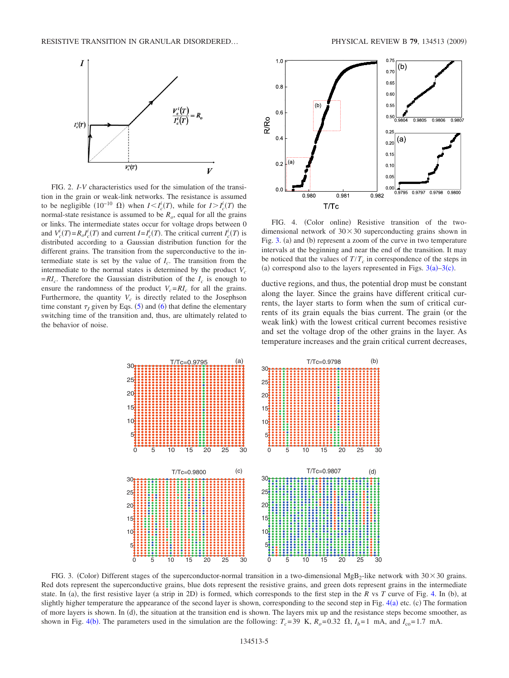

FIG. 2. *I*-*V* characteristics used for the simulation of the transition in the grain or weak-link networks. The resistance is assumed to be negligible  $(10^{-10} \Omega)$  when  $I \leq I_c^i(T)$ , while for  $I > I_c^i(T)$  the normal-state resistance is assumed to be  $R<sub>o</sub>$ , equal for all the grains or links. The intermediate states occur for voltage drops between 0 and  $V_c^i(T) = R_o I_c^i(T)$  and current  $I = I_c^i(T)$ . The critical current  $I_c^i(T)$  is distributed according to a Gaussian distribution function for the different grains. The transition from the superconductive to the intermediate state is set by the value of  $I_c$ . The transition from the intermediate to the normal states is determined by the product  $V_c$  $=RI_c$ . Therefore the Gaussian distribution of the  $I_c$  is enough to ensure the randomness of the product  $V_c = RI_c$  for all the grains. Furthermore, the quantity  $V_c$  is directly related to the Josephson time constant  $\tau_J$  given by Eqs. (5) and (6) that define the elementary switching time of the transition and, thus, are ultimately related to the behavior of noise.



FIG. 4. (Color online) Resistive transition of the twodimensional network of  $30 \times 30$  superconducting grains shown in Fig. 3. (a) and (b) represent a zoom of the curve in two temperature intervals at the beginning and near the end of the transition. It may be noticed that the values of  $T/T_c$  in correspondence of the steps in (a) correspond also to the layers represented in Figs.  $3(a)-3(c)$ .

ductive regions, and thus, the potential drop must be constant along the layer. Since the grains have different critical currents, the layer starts to form when the sum of critical currents of its grain equals the bias current. The grain (or the weak link) with the lowest critical current becomes resistive and set the voltage drop of the other grains in the layer. As temperature increases and the grain critical current decreases,



FIG. 3. (Color) Different stages of the superconductor-normal transition in a two-dimensional MgB<sub>2</sub>-like network with  $30 \times 30$  grains. Red dots represent the superconductive grains, blue dots represent the resistive grains, and green dots represent grains in the intermediate state. In (a), the first resistive layer (a strip in 2D) is formed, which corresponds to the first step in the  $R$  vs  $T$  curve of Fig. 4. In (b), at slightly higher temperature the appearance of the second layer is shown, corresponding to the second step in Fig.  $4(a)$  etc. (c) The formation of more layers is shown. In (d), the situation at the transition end is shown. The layers mix up and the resistance steps become smoother, as shown in Fig. 4(b). The parameters used in the simulation are the following:  $T_c$ =39 K,  $R_o$ =0.32  $\Omega$ ,  $I_b$ =1 mA, and  $I_{co}$ =1.7 mA.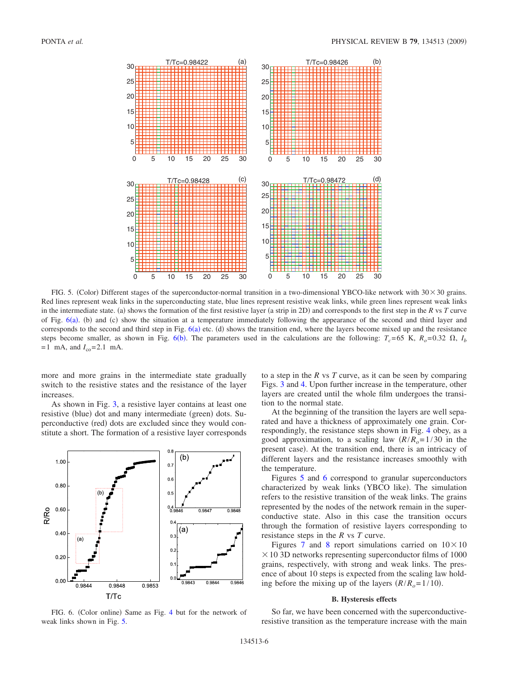

FIG. 5. (Color) Different stages of the superconductor-normal transition in a two-dimensional YBCO-like network with  $30 \times 30$  grains. Red lines represent weak links in the superconducting state, blue lines represent resistive weak links, while green lines represent weak links in the intermediate state. (a) shows the formation of the first resistive layer (a strip in 2D) and corresponds to the first step in the *R* vs *T* curve of Fig.  $6(a)$ . (b) and (c) show the situation at a temperature immediately following the appearance of the second and third layer and corresponds to the second and third step in Fig.  $6(a)$  etc. (d) shows the transition end, where the layers become mixed up and the resistance steps become smaller, as shown in Fig.  $6(b)$ . The parameters used in the calculations are the following:  $T_c = 65$  K,  $R_o = 0.32$   $\Omega$ ,  $I_b$  $=1$  mA, and  $I_{co} = 2.1$  mA.

more and more grains in the intermediate state gradually switch to the resistive states and the resistance of the layer increases.

As shown in Fig. 3, a resistive layer contains at least one resistive (blue) dot and many intermediate (green) dots. Superconductive (red) dots are excluded since they would constitute a short. The formation of a resistive layer corresponds



FIG. 6. (Color online) Same as Fig. 4 but for the network of weak links shown in Fig. 5.

to a step in the *R* vs *T* curve, as it can be seen by comparing Figs. 3 and 4. Upon further increase in the temperature, other layers are created until the whole film undergoes the transition to the normal state.

At the beginning of the transition the layers are well separated and have a thickness of approximately one grain. Correspondingly, the resistance steps shown in Fig. 4 obey, as a good approximation, to a scaling law  $(R/R<sub>o</sub>=1/30$  in the present case). At the transition end, there is an intricacy of different layers and the resistance increases smoothly with the temperature.

Figures 5 and 6 correspond to granular superconductors characterized by weak links (YBCO like). The simulation refers to the resistive transition of the weak links. The grains represented by the nodes of the network remain in the superconductive state. Also in this case the transition occurs through the formation of resistive layers corresponding to resistance steps in the *R* vs *T* curve.

Figures 7 and 8 report simulations carried on  $10 \times 10$  $\times$  10 3D networks representing superconductor films of 1000 grains, respectively, with strong and weak links. The presence of about 10 steps is expected from the scaling law holding before the mixing up of the layers  $(R/R<sub>o</sub>=1/10)$ .

#### **B. Hysteresis effects**

So far, we have been concerned with the superconductiveresistive transition as the temperature increase with the main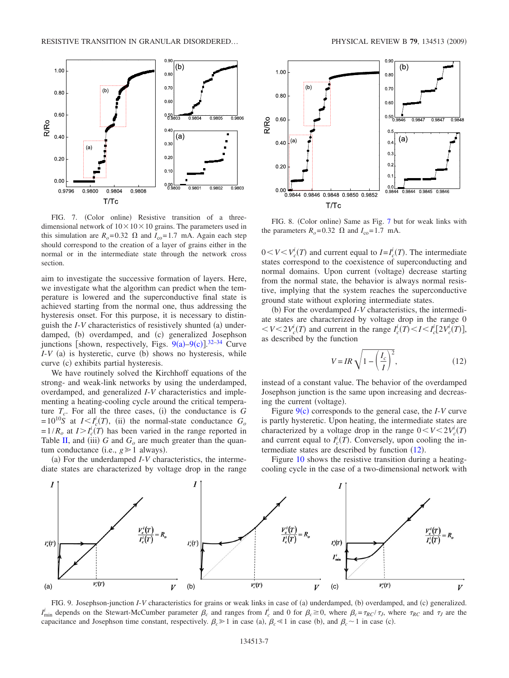

FIG. 7. (Color online) Resistive transition of a threedimensional network of  $10 \times 10 \times 10$  grains. The parameters used in this simulation are  $R_o = 0.32$   $\Omega$  and  $I_{\text{co}} = 1.7$  mA. Again each step should correspond to the creation of a layer of grains either in the normal or in the intermediate state through the network cross section.

aim to investigate the successive formation of layers. Here, we investigate what the algorithm can predict when the temperature is lowered and the superconductive final state is achieved starting from the normal one, thus addressing the hysteresis onset. For this purpose, it is necessary to distinguish the *I*-*V* characteristics of resistively shunted (a) underdamped, (b) overdamped, and (c) generalized Josephson junctions [shown, respectively, Figs.  $9(a)-9(c)$ ].<sup>32–34</sup> Curve  $I-V$  (a) is hysteretic, curve (b) shows no hysteresis, while curve (c) exhibits partial hysteresis.

We have routinely solved the Kirchhoff equations of the strong- and weak-link networks by using the underdamped, overdamped, and generalized *I*-*V* characteristics and implementing a heating-cooling cycle around the critical temperature  $T_c$ . For all the three cases, (i) the conductance is G  $=10^{10}S$  at  $I \leq I_c^i(T)$ , (ii) the normal-state conductance  $G_o$  $=1/R_o$  at  $I > I_c^i(T)$  has been varied in the range reported in Table II, and (iii)  $G$  and  $G<sub>o</sub>$  are much greater than the quantum conductance (i.e.,  $g \ge 1$  always).

(a) For the underdamped *I*-*V* characteristics, the intermediate states are characterized by voltage drop in the range



FIG. 8. (Color online) Same as Fig. 7 but for weak links with the parameters  $R_o = 0.32$   $\Omega$  and  $I_{\text{co}} = 1.7$  mA.

 $0 < V < V_c^i(T)$  and current equal to  $I = I_c^i(T)$ . The intermediate states correspond to the coexistence of superconducting and normal domains. Upon current (voltage) decrease starting from the normal state, the behavior is always normal resistive, implying that the system reaches the superconductive ground state without exploring intermediate states.

(b) For the overdamped *I*-*V* characteristics, the intermediate states are characterized by voltage drop in the range 0  $V \leq 2V_c^i(T)$  and current in the range  $I_c^i(T) \leq I \leq I_c^i[2V_c^i(T)]$ , as described by the function

$$
V = IR\sqrt{1 - \left(\frac{I_c}{I}\right)^2},\tag{12}
$$

instead of a constant value. The behavior of the overdamped Josephson junction is the same upon increasing and decreasing the current (voltage).

Figure 9(c) corresponds to the general case, the *I*-*V* curve is partly hysteretic. Upon heating, the intermediate states are characterized by a voltage drop in the range  $0 < V < 2V_c(T)$ and current equal to  $I_c^i(T)$ . Conversely, upon cooling the intermediate states are described by function  $(12)$ .

Figure 10 shows the resistive transition during a heatingcooling cycle in the case of a two-dimensional network with



FIG. 9. Josephson-junction *I-V* characteristics for grains or weak links in case of (a) underdamped, (b) overdamped, and (c) generalized.  $I_c^i$  depends on the Stewart-McCumber parameter  $\beta_c$  and ranges from  $I_c^i$  and 0 for  $\beta_c \ge 0$ , where  $\beta_c = \tau_{RC}/\tau_J$ , where  $\tau_{RC}$  and  $\tau_J$  are the capacitance and Josephson time constant, respectively.  $\beta_c \ge 1$  in case (a),  $\beta_c \le 1$  in case (b), and  $\beta_c \sim 1$  in case (c).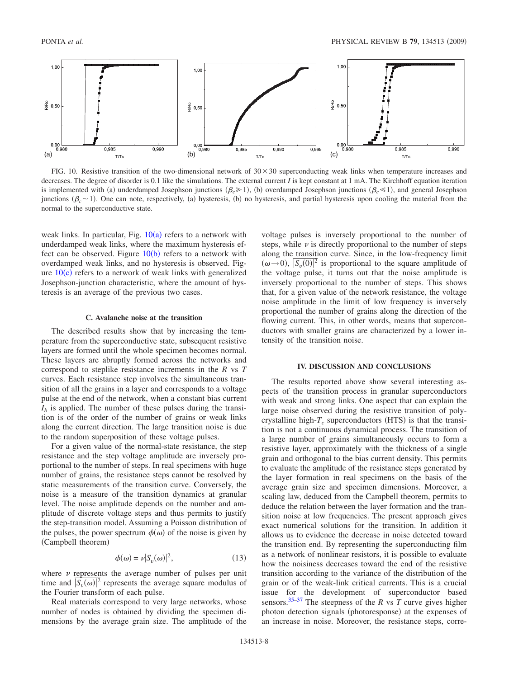

FIG. 10. Resistive transition of the two-dimensional network of  $30 \times 30$  superconducting weak links when temperature increases and decreases. The degree of disorder is 0.1 like the simulations. The external current *I* is kept constant at 1 mA. The Kirchhoff equation iteration is implemented with (a) underdamped Josephson junctions ( $\beta_c \ge 1$ ), (b) overdamped Josephson junctions ( $\beta_c \le 1$ ), and general Josephson junctions  $(\beta_c \sim 1)$ . One can note, respectively, (a) hysteresis, (b) no hysteresis, and partial hysteresis upon cooling the material from the normal to the superconductive state.

weak links. In particular, Fig.  $10(a)$  refers to a network with underdamped weak links, where the maximum hysteresis effect can be observed. Figure  $10(b)$  refers to a network with overdamped weak links, and no hysteresis is observed. Figure  $10(c)$  refers to a network of weak links with generalized Josephson-junction characteristic, where the amount of hysteresis is an average of the previous two cases.

#### **C. Avalanche noise at the transition**

The described results show that by increasing the temperature from the superconductive state, subsequent resistive layers are formed until the whole specimen becomes normal. These layers are abruptly formed across the networks and correspond to steplike resistance increments in the *R* vs *T* curves. Each resistance step involves the simultaneous transition of all the grains in a layer and corresponds to a voltage pulse at the end of the network, when a constant bias current  $I<sub>b</sub>$  is applied. The number of these pulses during the transition is of the order of the number of grains or weak links along the current direction. The large transition noise is due to the random superposition of these voltage pulses.

For a given value of the normal-state resistance, the step resistance and the step voltage amplitude are inversely proportional to the number of steps. In real specimens with huge number of grains, the resistance steps cannot be resolved by static measurements of the transition curve. Conversely, the noise is a measure of the transition dynamics at granular level. The noise amplitude depends on the number and amplitude of discrete voltage steps and thus permits to justify the step-transition model. Assuming a Poisson distribution of the pulses, the power spectrum  $\phi(\omega)$  of the noise is given by (Campbell theorem)

$$
\phi(\omega) = \nu |\overline{S_v(\omega)}|^2,\tag{13}
$$

where  $\nu$  represents the average number of pulses per unit time and  $|S_v(\omega)|^2$  represents the average square modulus of the Fourier transform of each pulse.

Real materials correspond to very large networks, whose number of nodes is obtained by dividing the specimen dimensions by the average grain size. The amplitude of the voltage pulses is inversely proportional to the number of steps, while  $\nu$  is directly proportional to the number of steps along the transition curve. Since, in the low-frequency limit  $(\omega \rightarrow 0)$ ,  $|S_v(0)|^2$  is proportional to the square amplitude of the voltage pulse, it turns out that the noise amplitude is inversely proportional to the number of steps. This shows that, for a given value of the network resistance, the voltage noise amplitude in the limit of low frequency is inversely proportional the number of grains along the direction of the flowing current. This, in other words, means that superconductors with smaller grains are characterized by a lower intensity of the transition noise.

#### **IV. DISCUSSION AND CONCLUSIONS**

The results reported above show several interesting aspects of the transition process in granular superconductors with weak and strong links. One aspect that can explain the large noise observed during the resistive transition of polycrystalline high- $T_c$  superconductors (HTS) is that the transition is not a continuous dynamical process. The transition of a large number of grains simultaneously occurs to form a resistive layer, approximately with the thickness of a single grain and orthogonal to the bias current density. This permits to evaluate the amplitude of the resistance steps generated by the layer formation in real specimens on the basis of the average grain size and specimen dimensions. Moreover, a scaling law, deduced from the Campbell theorem, permits to deduce the relation between the layer formation and the transition noise at low frequencies. The present approach gives exact numerical solutions for the transition. In addition it allows us to evidence the decrease in noise detected toward the transition end. By representing the superconducting film as a network of nonlinear resistors, it is possible to evaluate how the noisiness decreases toward the end of the resistive transition according to the variance of the distribution of the grain or of the weak-link critical currents. This is a crucial issue for the development of superconductor based sensors.35–37 The steepness of the *R* vs *T* curve gives higher photon detection signals (photoresponse) at the expenses of an increase in noise. Moreover, the resistance steps, corre